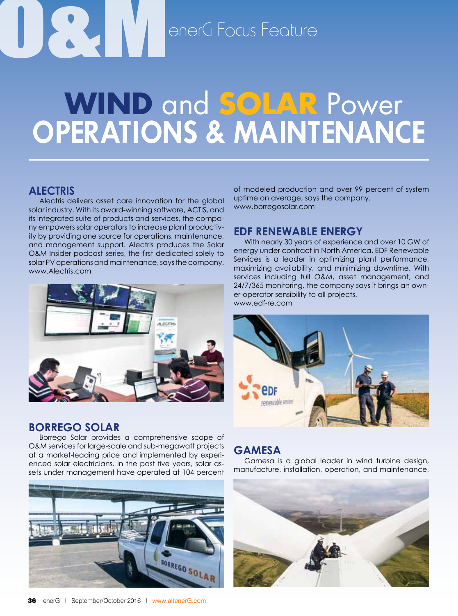# O<br>**O**<br>Carl DenerG Focus Feature

### **Operations & Maintenance Wind** and **Solar** Power

#### **Alectris**

Alectris delivers asset care innovation for the global solar industry. With its award-winning software, ACTIS, and its integrated suite of products and services, the company empowers solar operators to increase plant productivity by providing one source for operations, maintenance, and management support. Alectris produces the Solar O&M Insider podcast series, the first dedicated solely to solar PV operations and maintenance, says the company. www.Alectris.com



#### **Borrego Solar**

Borrego Solar provides a comprehensive scope of O&M services for large-scale and sub-megawatt projects at a market-leading price and implemented by experienced solar electricians. In the past five years, solar assets under management have operated at 104 percent



of modeled production and over 99 percent of system uptime on average, says the company. www.borregosolar.com

#### **EDF Renewable Energy**

With nearly 30 years of experience and over 10 GW of energy under contract in North America, EDF Renewable Services is a leader in optimizing plant performance, maximizing availability, and minimizing downtime. With services including full O&M, asset management, and 24/7/365 monitoring, the company says it brings an owner-operator sensibility to all projects. www.edf-re.com



#### **Gamesa**

Gamesa is a global leader in wind turbine design, manufacture, installation, operation, and maintenance,

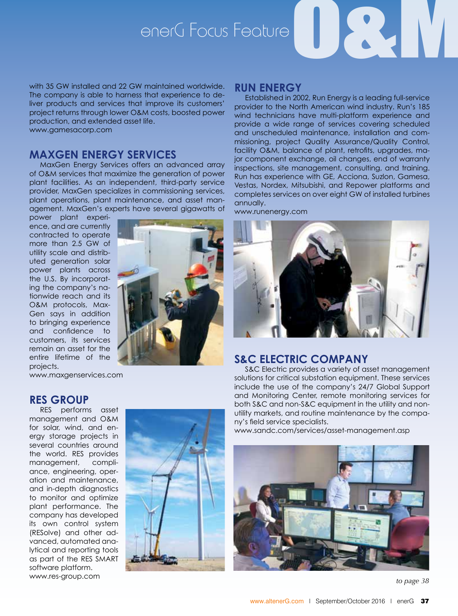# enerG Focus Feature<sup>O</sup>

with 35 GW installed and 22 GW maintained worldwide. The company is able to harness that experience to deliver products and services that improve its customers' project returns through lower O&M costs, boosted power production, and extended asset life. www.gamesacorp.com

#### **MaxGen Energy Services**

MaxGen Energy Services offers an advanced array of O&M services that maximize the generation of power plant facilities. As an independent, third-party service provider, MaxGen specializes in commissioning services, plant operations, plant maintenance, and asset management. MaxGen's experts have several gigawatts of

power plant experience, and are currently contracted to operate more than 2.5 GW of utility scale and distributed generation solar power plants across the U.S. By incorporating the company's nationwide reach and its O&M protocols, Max-Gen says in addition to bringing experience and confidence to customers, its services remain an asset for the entire lifetime of the projects.

www.maxgenservices.com

#### **RES Group**

RES performs asset management and O&M for solar, wind, and energy storage projects in several countries around the world. RES provides management, compliance, engineering, operation and maintenance, and in-depth diagnostics to monitor and optimize plant performance. The company has developed its own control system (RESolve) and other advanced, automated analytical and reporting tools as part of the RES SMART software platform. www.res-group.com



#### **Run Energy**

Established in 2002, Run Energy is a leading full-service provider to the North American wind industry. Run's 185 wind technicians have multi-platform experience and provide a wide range of services covering scheduled and unscheduled maintenance, installation and commissioning, project Quality Assurance/Quality Control, facility O&M, balance of plant, retrofits, upgrades, major component exchange, oil changes, end of warranty inspections, site management, consulting, and training. Run has experience with GE, Acciona, Suzlon, Gamesa, Vestas, Nordex, Mitsubishi, and Repower platforms and completes services on over eight GW of installed turbines annually.

www.runenergy.com



#### **S&C Electric Company**

S&C Electric provides a variety of asset management solutions for critical substation equipment. These services include the use of the company's 24/7 Global Support and Monitoring Center, remote monitoring services for both S&C and non-S&C equipment in the utility and nonutility markets, and routine maintenance by the company's field service specialists.

www.sandc.com/services/asset-management.asp



*to page 38*